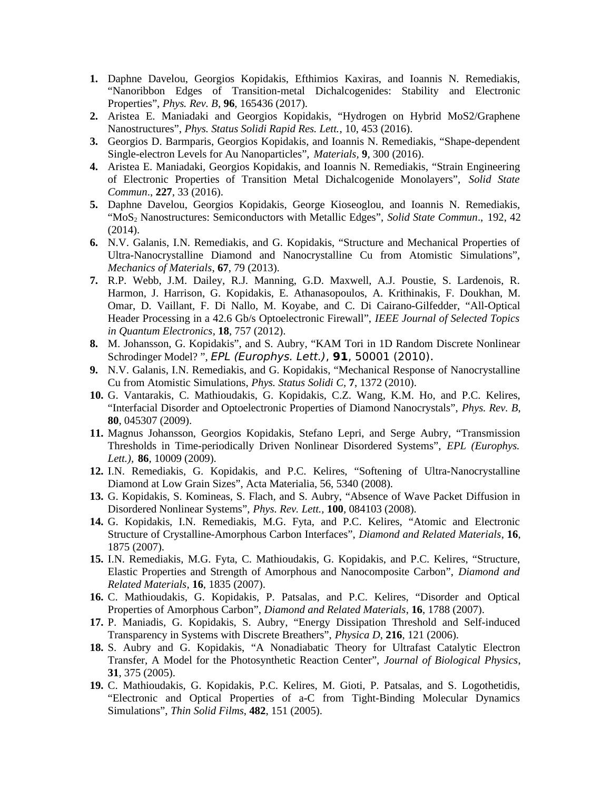- **1.** Daphne Davelou, Georgios Kopidakis, Efthimios Kaxiras, and Ioannis N. Remediakis, "Nanoribbon Edges of Transition-metal Dichalcogenides: Stability and Electronic Properties", *Phys. Rev. B*, **96**, 165436 (2017).
- **2.** Aristea E. Maniadaki and Georgios Kopidakis, "Hydrogen on Hybrid MoS2/Graphene Nanostructures", *Phys. Status Solidi Rapid Res. Lett.*, 10, 453 (2016).
- **3.** Georgios D. Barmparis, Georgios Kopidakis, and Ioannis N. Remediakis, "Shape-dependent Single-electron Levels for Au Nanoparticles", *Materials,* **9**, 300 (2016).
- **4.** Aristea E. Maniadaki, Georgios Kopidakis, and Ioannis N. Remediakis, "Strain Engineering of Electronic Properties of Transition Metal Dichalcogenide Monolayers", *Solid State Commun*., **227**, 33 (2016).
- **5.** Daphne Davelou, Georgios Kopidakis, George Kioseoglou, and Ioannis N. Remediakis, "MoS2 Nanostructures: Semiconductors with Metallic Edges", *Solid State Commun*., 192, 42 (2014).
- **6.** N.V. Galanis, I.N. Remediakis, and G. Kopidakis, "Structure and Mechanical Properties of Ultra-Nanocrystalline Diamond and Nanocrystalline Cu from Atomistic Simulations", *Mechanics of Materials*, **67**, 79 (2013).
- **7.** R.P. Webb, J.M. Dailey, R.J. Manning, G.D. Maxwell, A.J. Poustie, S. Lardenois, R. Harmon, J. Harrison, G. Kopidakis, E. Athanasopoulos, A. Krithinakis, F. Doukhan, M. Omar, D. Vaillant, F. Di Nallo, M. Koyabe, and C. Di Cairano-Gilfedder, "All-Optical Header Processing in a 42.6 Gb/s Optoelectronic Firewall", *IEEE Journal of Selected Topics in Quantum Electronics*, **18**, 757 (2012).
- **8.** M. Johansson, G. Kopidakis", and S. Aubry, "KAM Tori in 1D Random Discrete Nonlinear Schrodinger Model? ", EPL (Europhys. Lett.), **91**, 50001 (2010).
- **9.** N.V. Galanis, I.N. Remediakis, and G. Kopidakis, "Mechanical Response of Nanocrystalline Cu from Atomistic Simulations, *Phys. Status Solidi C,* **7**, 1372 (2010).
- **10.** G. Vantarakis, C. Mathioudakis, G. Kopidakis, C.Z. Wang, K.M. Ho, and P.C. Kelires, "Interfacial Disorder and Optoelectronic Properties of Diamond Nanocrystals", *Phys. Rev. B*, **80**, 045307 (2009).
- **11.** Magnus Johansson, Georgios Kopidakis, Stefano Lepri, and Serge Aubry, "Transmission Thresholds in Time-periodically Driven Nonlinear Disordered Systems", *EPL (Europhys. Lett.),* **86***,* 10009 (2009).
- **12.** I.N. Remediakis, G. Kopidakis, and P.C. Kelires, "Softening of Ultra-Nanocrystalline Diamond at Low Grain Sizes", Acta Materialia, 56, 5340 (2008).
- **13.** G. Kopidakis, S. Komineas, S. Flach, and S. Aubry, "Absence of Wave Packet Diffusion in Disordered Nonlinear Systems", *Phys. Rev. Lett.,* **100**, 084103 (2008).
- **14.** G. Kopidakis, I.N. Remediakis, M.G. Fyta, and P.C. Kelires, "Atomic and Electronic Structure of Crystalline-Amorphous Carbon Interfaces", *Diamond and Related Materials*, **16**, 1875 (2007).
- **15.** I.N. Remediakis, M.G. Fyta, C. Mathioudakis, G. Kopidakis, and P.C. Kelires, "Structure, Elastic Properties and Strength of Amorphous and Nanocomposite Carbon", *Diamond and Related Materials*, **16**, 1835 (2007).
- **16.** C. Mathioudakis, G. Kopidakis, P. Patsalas, and P.C. Kelires, "Disorder and Optical Properties of Amorphous Carbon", *Diamond and Related Materials*, **16**, 1788 (2007).
- **17.** P. Maniadis, G. Kopidakis, S. Aubry, "Energy Dissipation Threshold and Self-induced Transparency in Systems with Discrete Breathers", *Physica D*, **216**, 121 (2006).
- **18.** S. Aubry and G. Kopidakis, "A Nonadiabatic Theory for Ultrafast Catalytic Electron Transfer, A Model for the Photosynthetic Reaction Center", *Journal of Biological Physics*, **31**, 375 (2005).
- **19.** C. Mathioudakis, G. Kopidakis, P.C. Kelires, M. Gioti, P. Patsalas, and S. Logothetidis, "Electronic and Optical Properties of a-C from Tight-Binding Molecular Dynamics Simulations", *Thin Solid Films*, **482**, 151 (2005).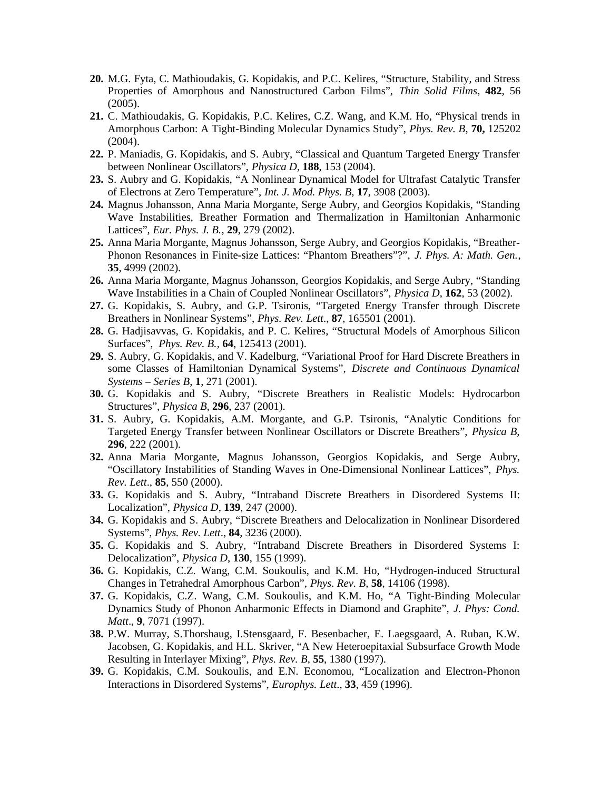- **20.** M.G. Fyta, C. Mathioudakis, G. Kopidakis, and P.C. Kelires, "Structure, Stability, and Stress Properties of Amorphous and Nanostructured Carbon Films", *Thin Solid Films*, **482**, 56 (2005).
- **21.** C. Mathioudakis, G. Kopidakis, P.C. Kelires, C.Z. Wang, and K.M. Ho, "Physical trends in Amorphous Carbon: A Tight-Binding Molecular Dynamics Study", *Phys. Rev. B*, **70,** 125202 (2004).
- **22.** P. Maniadis, G. Kopidakis, and S. Aubry, "Classical and Quantum Targeted Energy Transfer between Nonlinear Oscillators", *Physica D*, **188**, 153 (2004).
- **23.** S. Aubry and G. Kopidakis, "A Nonlinear Dynamical Model for Ultrafast Catalytic Transfer of Electrons at Zero Temperature", *Int. J. Mod. Phys. B,* **17**, 3908 (2003).
- **24.** Magnus Johansson, Anna Maria Morgante, Serge Aubry, and Georgios Kopidakis, "Standing Wave Instabilities, Breather Formation and Thermalization in Hamiltonian Anharmonic Lattices", *Eur. Phys. J. B.*, **29**, 279 (2002).
- **25.** Anna Maria Morgante, Magnus Johansson, Serge Aubry, and Georgios Kopidakis, "Breather-Phonon Resonances in Finite-size Lattices: "Phantom Breathers"?", *J. Phys. A: Math. Gen.*, **35**, 4999 (2002).
- **26.** Anna Maria Morgante, Magnus Johansson, Georgios Kopidakis, and Serge Aubry, "Standing Wave Instabilities in a Chain of Coupled Nonlinear Oscillators", *Physica D*, **162**, 53 (2002).
- **27.** G. Kopidakis, S. Aubry, and G.P. Tsironis, "Targeted Energy Transfer through Discrete Breathers in Nonlinear Systems", *Phys. Rev. Lett*., **87**, 165501 (2001).
- **28.** G. Hadjisavvas, G. Kopidakis, and P. C. Kelires, "Structural Models of Amorphous Silicon Surfaces", *Phys. Rev. B.*, **64**, 125413 (2001).
- **29.** S. Aubry, G. Kopidakis, and V. Kadelburg, "Variational Proof for Hard Discrete Breathers in some Classes of Hamiltonian Dynamical Systems", *Discrete and Continuous Dynamical Systems – Series B*, **1**, 271 (2001).
- **30.** G. Kopidakis and S. Aubry, "Discrete Breathers in Realistic Models: Hydrocarbon Structures", *Physica B,* **296**, 237 (2001).
- **31.** S. Aubry, G. Kopidakis, A.M. Morgante, and G.P. Tsironis, "Analytic Conditions for Targeted Energy Transfer between Nonlinear Oscillators or Discrete Breathers", *Physica B,* **296**, 222 (2001).
- **32.** Anna Maria Morgante, Magnus Johansson, Georgios Kopidakis, and Serge Aubry, "Oscillatory Instabilities of Standing Waves in One-Dimensional Nonlinear Lattices", *Phys. Rev. Lett*., **85**, 550 (2000).
- **33.** G. Kopidakis and S. Aubry, "Intraband Discrete Breathers in Disordered Systems II: Localization", *Physica D*, **139**, 247 (2000).
- **34.** G. Kopidakis and S. Aubry, "Discrete Breathers and Delocalization in Nonlinear Disordered Systems", *Phys. Rev. Lett*., **84**, 3236 (2000).
- **35.** G. Kopidakis and S. Aubry, "Intraband Discrete Breathers in Disordered Systems I: Delocalization", *Physica D*, **130**, 155 (1999).
- **36.** G. Kopidakis, C.Z. Wang, C.M. Soukoulis, and K.M. Ho, "Hydrogen-induced Structural Changes in Tetrahedral Amorphous Carbon", *Phys. Rev. B*, **58**, 14106 (1998).
- **37.** G. Kopidakis, C.Z. Wang, C.M. Soukoulis, and K.M. Ho, "A Tight-Binding Molecular Dynamics Study of Phonon Anharmonic Effects in Diamond and Graphite", *J. Phys: Cond. Matt*., **9**, 7071 (1997).
- **38.** P.W. Murray, S.Thorshaug, I.Stensgaard, F. Besenbacher, E. Laegsgaard, A. Ruban, K.W. Jacobsen, G. Kopidakis, and H.L. Skriver, "A New Heteroepitaxial Subsurface Growth Mode Resulting in Interlayer Mixing", *Phys. Rev. B*, **55**, 1380 (1997).
- **39.** G. Kopidakis, C.M. Soukoulis, and E.N. Economou, "Localization and Electron-Phonon Interactions in Disordered Systems", *Europhys. Lett*., **33**, 459 (1996).